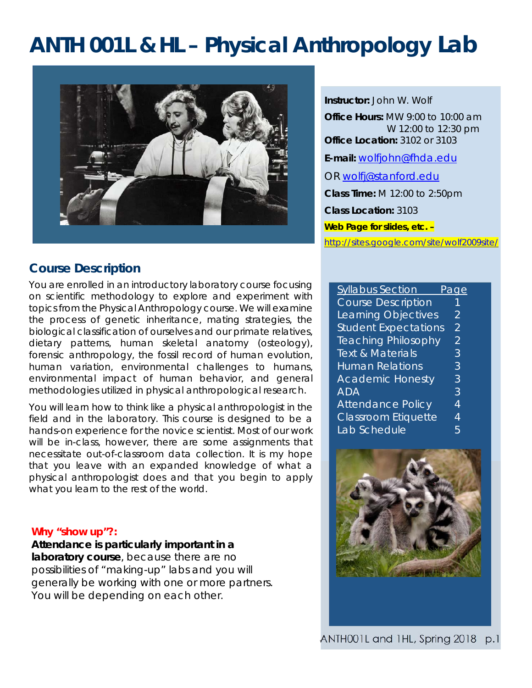# **ANTH 001L & HL – Physical Anthropology Lab**



# **Course Description**

You are enrolled in an introductory laboratory course focusing on scientific methodology to explore and experiment with topics from the Physical Anthropology course. We will examine the process of genetic inheritance, mating strategies, the biological classification of ourselves and our primate relatives, dietary patterns, human skeletal anatomy (osteology), forensic anthropology, the fossil record of human evolution, human variation, environmental challenges to humans, environmental impact of human behavior, and general methodologies utilized in physical anthropological research.

You will learn how to think like a physical anthropologist in the field and in the laboratory. This course is designed to be a hands-on experience for the novice scientist. Most of our work will be in-class, however, there are some assignments that necessitate out-of-classroom data collection. It is my hope that you leave with an expanded knowledge of what a physical anthropologist does and that you begin to apply what you learn to the rest of the world.

#### **Why "show up"?:**

**Attendance is particularly important in a laboratory course**, because there are no possibilities of "making-up" labs and you will generally be working with one or more partners. You will be depending on each other.

*Instructor:* John W. Wolf *Office Hours:* MW 9:00 to 10:00 am W 12:00 to 12:30 pm *Office Location:* 3102 or 3103 *E-mail:* wolfjohn@fhda.edu OR wolfj@stanford.edu *Class Time:* M 12:00 to 2:50pm *Class Location:* 3103 **Web Page for slides, etc. –** 

http://sites.google.com/site/wolf2009site/

| <b>Syllabus Section</b>     | 'age           |
|-----------------------------|----------------|
| <b>Course Description</b>   | 1              |
| Learning Objectives         | $\mathcal{P}$  |
| <b>Student Expectations</b> | 2              |
| <b>Teaching Philosophy</b>  | $\overline{2}$ |
| <b>Text &amp; Materials</b> | 3              |
| <b>Human Relations</b>      | 3              |
| <b>Academic Honesty</b>     | 3              |
| <b>ADA</b>                  | 3              |
| <b>Attendance Policy</b>    | 4              |
| Classroom Etiquette         | 4              |
| Lab Schedule                | 5              |

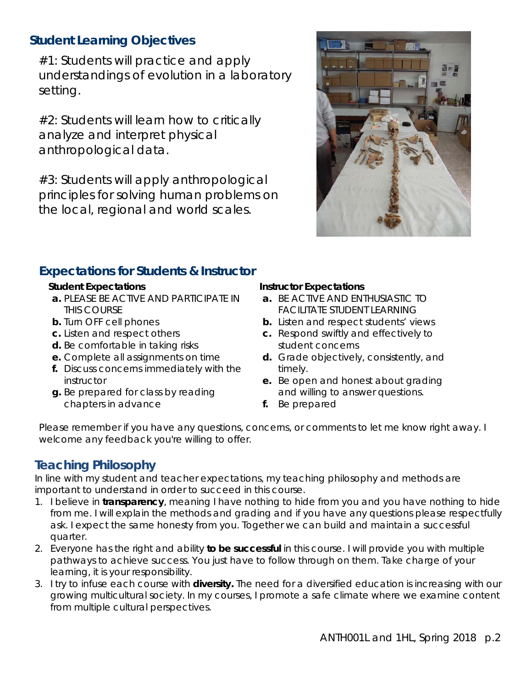# **Student Learning Objectives**

#1: Students will practice and apply understandings of evolution in a laboratory setting.

#2: Students will learn how to critically analyze and interpret physical anthropological data.

#3: Students will apply anthropological principles for solving human problems on the local, regional and world scales.



# **Expectations for Students & Instructor**

#### *Student Expectations*

- *a.* PLEASE BE ACTIVE AND PARTICIPATE IN THIS COURSE
- *b.* Turn OFF cell phones
- *c.* Listen and respect others
- d. Be comfortable in taking risks
- *e.* Complete all assignments on time
- *f.* Discuss concerns immediately with the instructor
- *g.* Be prepared for class by reading chapters in advance

#### *Instructor Expectations*

- *a.* BE ACTIVE AND ENTHUSIASTIC TO FACILITATE STUDENT LEARNING
- *b.* Listen and respect students' views
- *c.* Respond swiftly and effectively to student concerns
- *d.* Grade objectively, consistently, and timely.
- *e.* Be open and honest about grading and willing to answer questions.
- *f.* Be prepared

Please remember if you have any questions, concerns, or comments to let me know right away. I welcome any feedback you're willing to offer.

# **Teaching Philosophy**

In line with my student and teacher expectations, my teaching philosophy and methods are important to understand in order to succeed in this course.

- 1. I believe in *transparency*, meaning I have nothing to hide from you and you have nothing to hide from me. I will explain the methods and grading and if you have any questions please respectfully ask. I expect the same honesty from you. Together we can build and maintain a successful quarter.
- 2. Everyone has the right and ability *to be successful* in this course. I will provide you with multiple pathways to achieve success. You just have to follow through on them. Take charge of your learning, it is your responsibility.
- 3. I try to infuse each course with *diversity.* The need for a diversified education is increasing with our growing multicultural society. In my courses, I promote a safe climate where we examine content from multiple cultural perspectives.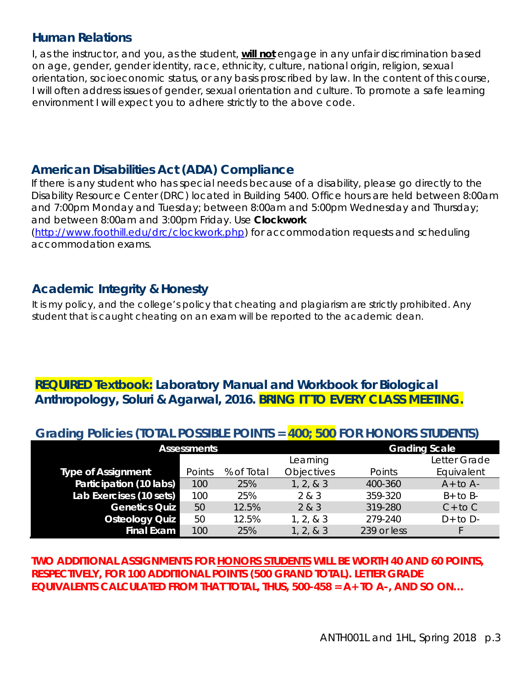## **Human Relations**

I, as the instructor, and you, as the student, **will not** engage in any unfair discrimination based on age, gender, gender identity, race, ethnicity, culture, national origin, religion, sexual orientation, socioeconomic status, or any basis proscribed by law. In the content of this course, I will often address issues of gender, sexual orientation and culture. To promote a safe learning environment I will expect you to adhere strictly to the above code.

## **American Disabilities Act (ADA) Compliance**

If there is any student who has special needs because of a disability, please go directly to the Disability Resource Center (DRC) located in Building 5400. Office hours are held between 8:00am and 7:00pm Monday and Tuesday; between 8:00am and 5:00pm Wednesday and Thursday; and between 8:00am and 3:00pm Friday. Use *Clockwork* (http://www.foothill.edu/drc/clockwork.php) for accommodation requests and scheduling accommodation exams.

# **Academic Integrity & Honesty**

It is my policy, and the college's policy that cheating and plagiarism are strictly prohibited. Any student that is caught cheating on an exam will be reported to the academic dean.

# **REQUIRED Textbook:** *Laboratory Manual and Workbook for Biological Anthropology,* **Soluri & Agarwal, 2016. BRING IT TO EVERY CLASS MEETING.**

# **Grading Policies (TOTAL POSSIBLE POINTS = 400; 500 FOR HONORS STUDENTS)**

| <b>Assessments</b>        |        |            | <b>Grading Scale</b> |             |              |
|---------------------------|--------|------------|----------------------|-------------|--------------|
|                           |        |            | Learning             |             | Letter Grade |
| <b>Type of Assignment</b> | Points | % of Total | <b>Objectives</b>    | Points      | Equivalent   |
| Participation (10 labs)   | 100    | 25%        | 1, 2, 8, 3           | 400-360     | $A+$ to $A-$ |
| Lab Exercises (10 sets)   | 100    | 25%        | 2 & 3                | 359-320     | $B+$ to $B-$ |
| <b>Genetics Quiz</b>      | 50     | 12.5%      | 2 & 3                | 319-280     | $C+$ to $C$  |
| <b>Osteology Quiz</b>     | 50     | 12.5%      | 1, 2, 8, 3           | 279-240     | $D+$ to $D-$ |
| <b>Final Exam</b>         | 100    | 25%        | 1, 2, 8, 3           | 239 or less |              |

**TWO ADDITIONAL ASSIGNMENTS FOR HONORS STUDENTS WILL BE WORTH 40 AND 60 POINTS, RESPECTIVELY, FOR 100 ADDITIONAL POINTS (500 GRAND TOTAL). LETTER GRADE EQUIVALENTS CALCULATED FROM THAT TOTAL, THUS, 500-458 = A+ TO A-, AND SO ON…**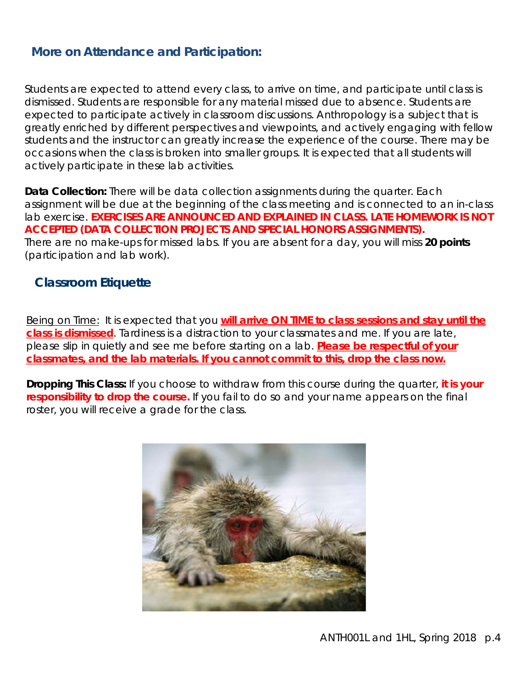# **More on Attendance and Participation:**

Students are expected to attend every class, to arrive on time, and participate until class is dismissed. Students are responsible for any material missed due to absence. Students are expected to participate actively in classroom discussions. Anthropology is a subject that is greatly enriched by different perspectives and viewpoints, and actively engaging with fellow students and the instructor can greatly increase the experience of the course. There may be occasions when the class is broken into smaller groups. It is expected that all students will actively participate in these lab activities.

**Data Collection:** There will be data collection assignments during the quarter. Each assignment will be due at the beginning of the class meeting and is connected to an in-class lab exercise. **EXERCISES ARE ANNOUNCED AND EXPLAINED IN CLASS. LATE HOMEWORK IS NOT ACCEPTED (DATA COLLECTION PROJECTS AND SPECIAL HONORS ASSIGNMENTS).** There are no make-ups for missed labs. If you are absent for a day, you will miss **20 points**  (participation and lab work).

## **Classroom Etiquette**

Being on Time: It is expected that you **will arrive ON TIME to class sessions and stay until the class is dismissed**. Tardiness is a distraction to your classmates and me. If you are late, please slip in quietly and see me before starting on a lab. **Please be respectful of your classmates, and the lab materials. If you cannot commit to this, drop the class now.**

**Dropping This Class:** If you choose to withdraw from this course during the quarter*, it is your responsibility to drop the course.* If you fail to do so and your name appears on the final roster, you will receive a grade for the class.